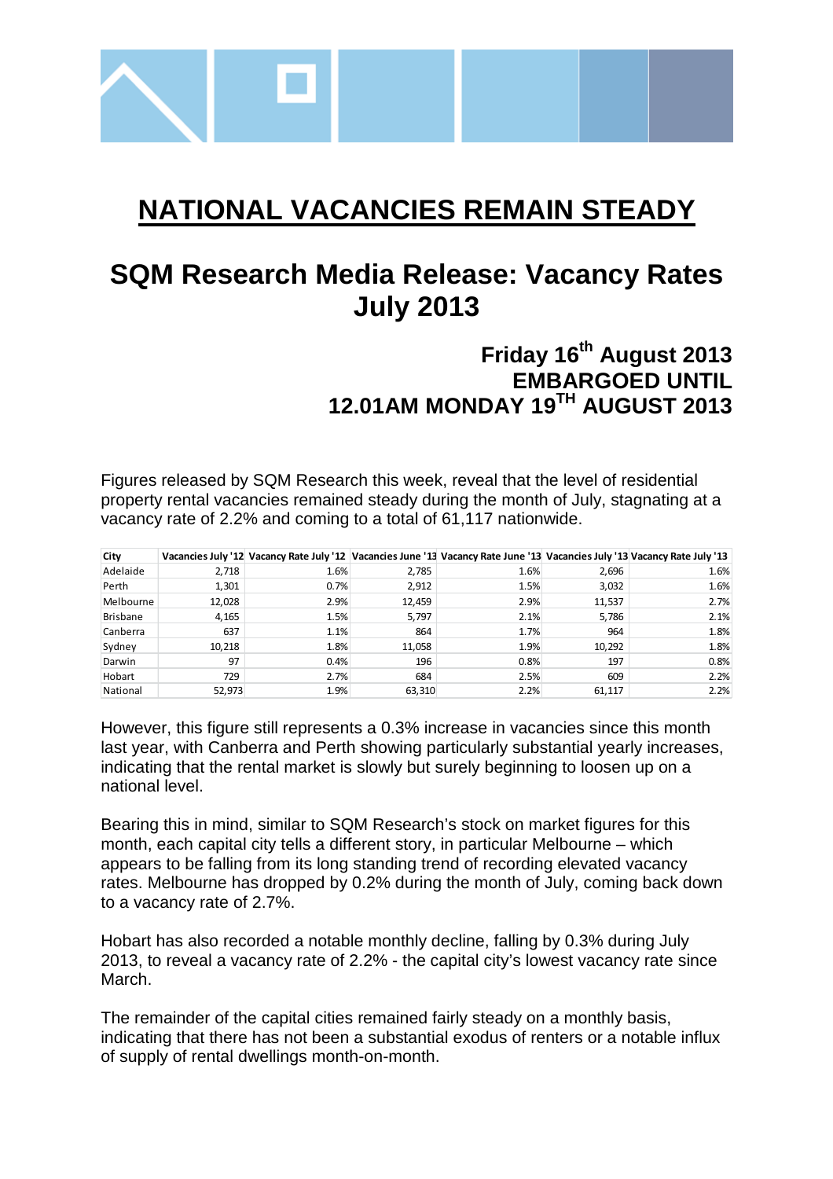

# **NATIONAL VACANCIES REMAIN STEADY**

# **SQM Research Media Release: Vacancy Rates July 2013**

## **Friday 16th August 2013 EMBARGOED UNTIL 12.01AM MONDAY 19TH AUGUST 2013**

Figures released by SQM Research this week, reveal that the level of residential property rental vacancies remained steady during the month of July, stagnating at a vacancy rate of 2.2% and coming to a total of 61,117 nationwide.

| City            |        |      |        | Vacancies July '12 Vacancy Rate July '12 Vacancies June '13 Vacancy Rate June '13 Vacancies July '13 Vacancy Rate July '13 |        |      |
|-----------------|--------|------|--------|----------------------------------------------------------------------------------------------------------------------------|--------|------|
| Adelaide        | 2,718  | 1.6% | 2,785  | 1.6%                                                                                                                       | 2,696  | 1.6% |
| Perth           | 1,301  | 0.7% | 2,912  | 1.5%                                                                                                                       | 3,032  | 1.6% |
| Melbourne       | 12,028 | 2.9% | 12,459 | 2.9%                                                                                                                       | 11,537 | 2.7% |
| <b>Brisbane</b> | 4,165  | 1.5% | 5.797  | 2.1%                                                                                                                       | 5,786  | 2.1% |
| Canberra        | 637    | 1.1% | 864    | 1.7%                                                                                                                       | 964    | 1.8% |
| Sydney          | 10,218 | 1.8% | 11.058 | 1.9%                                                                                                                       | 10,292 | 1.8% |
| Darwin          | 97     | 0.4% | 196    | 0.8%                                                                                                                       | 197    | 0.8% |
| Hobart          | 729    | 2.7% | 684    | 2.5%                                                                                                                       | 609    | 2.2% |
| National        | 52.973 | 1.9% | 63,310 | 2.2%                                                                                                                       | 61.117 | 2.2% |

However, this figure still represents a 0.3% increase in vacancies since this month last year, with Canberra and Perth showing particularly substantial yearly increases, indicating that the rental market is slowly but surely beginning to loosen up on a national level.

Bearing this in mind, similar to SQM Research's stock on market figures for this month, each capital city tells a different story, in particular Melbourne – which appears to be falling from its long standing trend of recording elevated vacancy rates. Melbourne has dropped by 0.2% during the month of July, coming back down to a vacancy rate of 2.7%.

Hobart has also recorded a notable monthly decline, falling by 0.3% during July 2013, to reveal a vacancy rate of 2.2% - the capital city's lowest vacancy rate since March.

The remainder of the capital cities remained fairly steady on a monthly basis, indicating that there has not been a substantial exodus of renters or a notable influx of supply of rental dwellings month-on-month.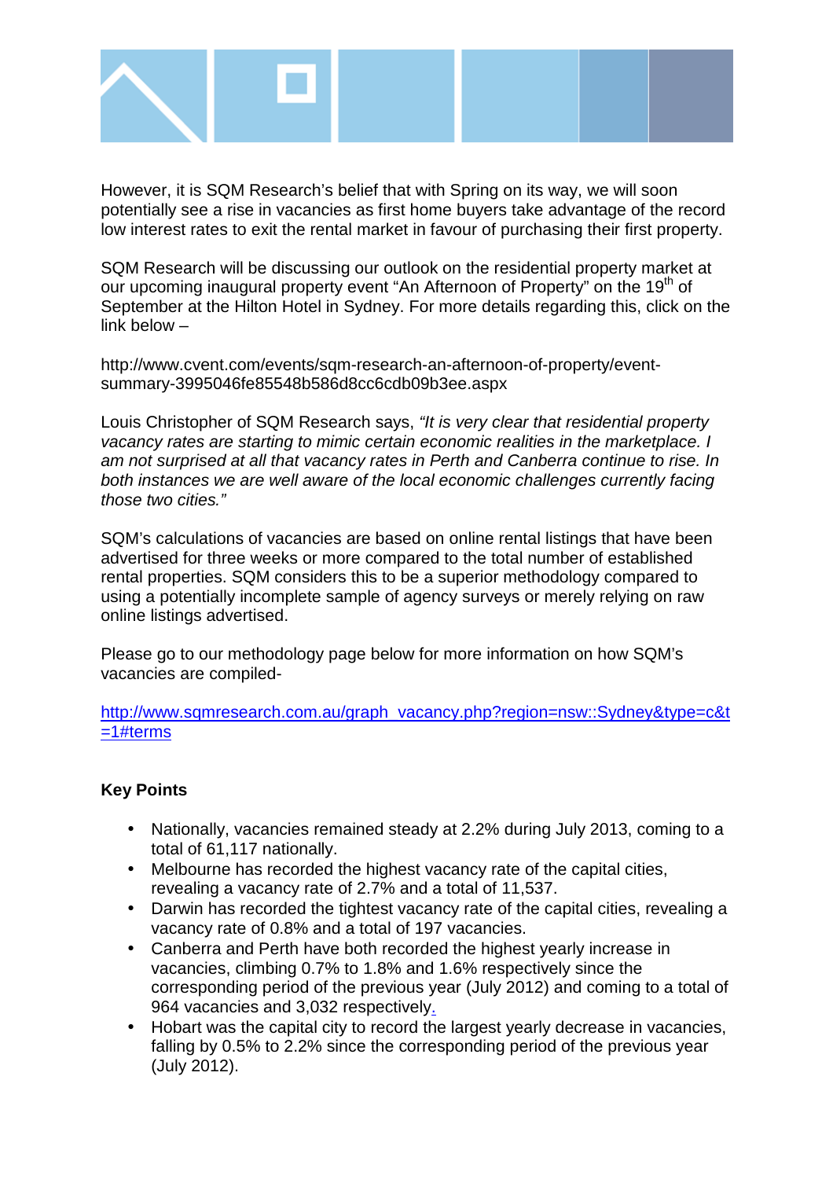

However, it is SQM Research's belief that with Spring on its way, we will soon potentially see a rise in vacancies as first home buyers take advantage of the record low interest rates to exit the rental market in favour of purchasing their first property.

SQM Research will be discussing our outlook on the residential property market at our upcoming inaugural property event "An Afternoon of Property" on the 19<sup>th</sup> of September at the Hilton Hotel in Sydney. For more details regarding this, click on the link below –

http://www.cvent.com/events/sqm-research-an-afternoon-of-property/eventsummary-3995046fe85548b586d8cc6cdb09b3ee.aspx

Louis Christopher of SQM Research says, "It is very clear that residential property vacancy rates are starting to mimic certain economic realities in the marketplace. I am not surprised at all that vacancy rates in Perth and Canberra continue to rise. In both instances we are well aware of the local economic challenges currently facing those two cities."

SQM's calculations of vacancies are based on online rental listings that have been advertised for three weeks or more compared to the total number of established rental properties. SQM considers this to be a superior methodology compared to using a potentially incomplete sample of agency surveys or merely relying on raw online listings advertised.

Please go to our methodology page below for more information on how SQM's vacancies are compiled-

http://www.sqmresearch.com.au/graph\_vacancy.php?region=nsw::Sydney&type=c&t =1#terms

### **Key Points**

- Nationally, vacancies remained steady at 2.2% during July 2013, coming to a total of 61,117 nationally.
- Melbourne has recorded the highest vacancy rate of the capital cities, revealing a vacancy rate of 2.7% and a total of 11,537.
- Darwin has recorded the tightest vacancy rate of the capital cities, revealing a vacancy rate of 0.8% and a total of 197 vacancies.
- Canberra and Perth have both recorded the highest yearly increase in vacancies, climbing 0.7% to 1.8% and 1.6% respectively since the corresponding period of the previous year (July 2012) and coming to a total of 964 vacancies and 3,032 respectively.
- Hobart was the capital city to record the largest yearly decrease in vacancies, falling by 0.5% to 2.2% since the corresponding period of the previous year (July 2012).